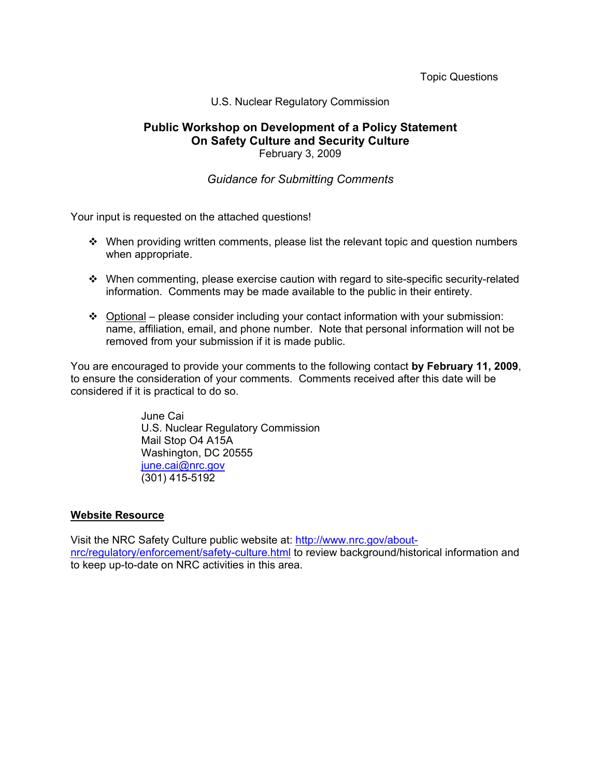Topic Questions

### U.S. Nuclear Regulatory Commission

## **Public Workshop on Development of a Policy Statement On Safety Culture and Security Culture**  February 3, 2009

# *Guidance for Submitting Comments*

Your input is requested on the attached questions!

- $\cdot \cdot$  When providing written comments, please list the relevant topic and question numbers when appropriate.
- $\cdot \cdot$  When commenting, please exercise caution with regard to site-specific security-related information. Comments may be made available to the public in their entirety.
- Optional please consider including your contact information with your submission: name, affiliation, email, and phone number. Note that personal information will not be removed from your submission if it is made public.

You are encouraged to provide your comments to the following contact **by February 11, 2009**, to ensure the consideration of your comments. Comments received after this date will be considered if it is practical to do so.

> June Cai U.S. Nuclear Regulatory Commission Mail Stop O4 A15A Washington, DC 20555 iune.cai@nrc.gov (301) 415-5192

### **Website Resource**

Visit the NRC Safety Culture public website at: http://www.nrc.gov/aboutnrc/regulatory/enforcement/safety-culture.html to review background/historical information and to keep up-to-date on NRC activities in this area.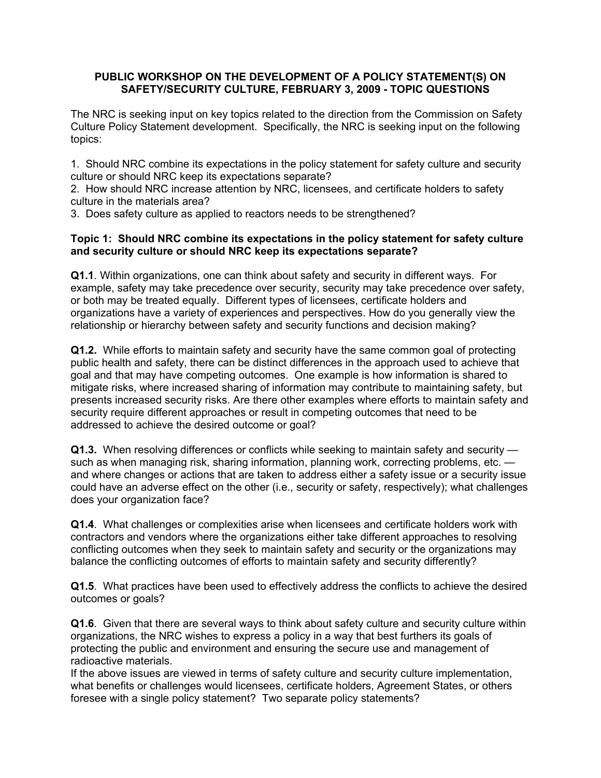# **PUBLIC WORKSHOP ON THE DEVELOPMENT OF A POLICY STATEMENT(S) ON SAFETY/SECURITY CULTURE, FEBRUARY 3, 2009 - TOPIC QUESTIONS**

The NRC is seeking input on key topics related to the direction from the Commission on Safety Culture Policy Statement development. Specifically, the NRC is seeking input on the following topics:

1. Should NRC combine its expectations in the policy statement for safety culture and security culture or should NRC keep its expectations separate?

2. How should NRC increase attention by NRC, licensees, and certificate holders to safety culture in the materials area?

3. Does safety culture as applied to reactors needs to be strengthened?

# **Topic 1: Should NRC combine its expectations in the policy statement for safety culture and security culture or should NRC keep its expectations separate?**

**Q1.1**. Within organizations, one can think about safety and security in different ways. For example, safety may take precedence over security, security may take precedence over safety, or both may be treated equally. Different types of licensees, certificate holders and organizations have a variety of experiences and perspectives. How do you generally view the relationship or hierarchy between safety and security functions and decision making?

**Q1.2.** While efforts to maintain safety and security have the same common goal of protecting public health and safety, there can be distinct differences in the approach used to achieve that goal and that may have competing outcomes. One example is how information is shared to mitigate risks, where increased sharing of information may contribute to maintaining safety, but presents increased security risks. Are there other examples where efforts to maintain safety and security require different approaches or result in competing outcomes that need to be addressed to achieve the desired outcome or goal?

**Q1.3.** When resolving differences or conflicts while seeking to maintain safety and security such as when managing risk, sharing information, planning work, correcting problems, etc. and where changes or actions that are taken to address either a safety issue or a security issue could have an adverse effect on the other (i.e., security or safety, respectively); what challenges does your organization face?

**Q1.4**. What challenges or complexities arise when licensees and certificate holders work with contractors and vendors where the organizations either take different approaches to resolving conflicting outcomes when they seek to maintain safety and security or the organizations may balance the conflicting outcomes of efforts to maintain safety and security differently?

**Q1.5**. What practices have been used to effectively address the conflicts to achieve the desired outcomes or goals?

**Q1.6**. Given that there are several ways to think about safety culture and security culture within organizations, the NRC wishes to express a policy in a way that best furthers its goals of protecting the public and environment and ensuring the secure use and management of radioactive materials.

If the above issues are viewed in terms of safety culture and security culture implementation, what benefits or challenges would licensees, certificate holders, Agreement States, or others foresee with a single policy statement? Two separate policy statements?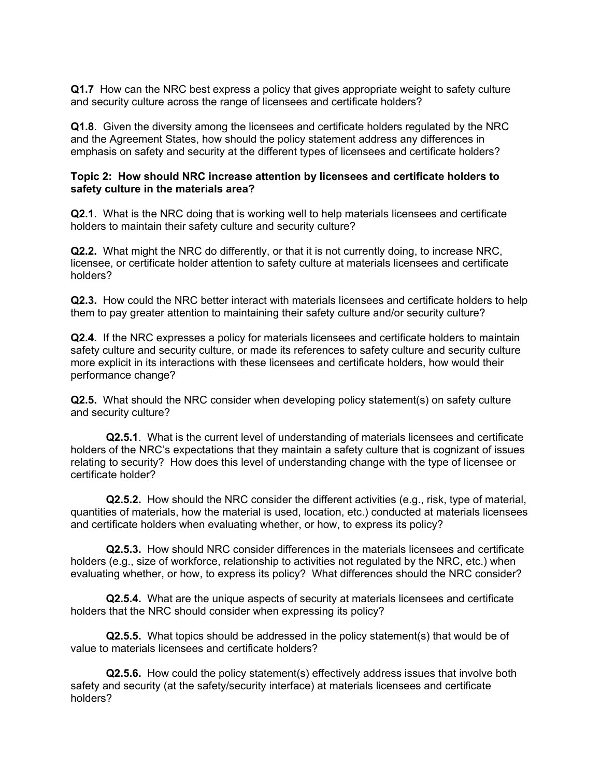**Q1.7** How can the NRC best express a policy that gives appropriate weight to safety culture and security culture across the range of licensees and certificate holders?

**Q1.8**. Given the diversity among the licensees and certificate holders regulated by the NRC and the Agreement States, how should the policy statement address any differences in emphasis on safety and security at the different types of licensees and certificate holders?

### **Topic 2: How should NRC increase attention by licensees and certificate holders to safety culture in the materials area?**

**Q2.1**. What is the NRC doing that is working well to help materials licensees and certificate holders to maintain their safety culture and security culture?

**Q2.2.** What might the NRC do differently, or that it is not currently doing, to increase NRC, licensee, or certificate holder attention to safety culture at materials licensees and certificate holders?

**Q2.3.** How could the NRC better interact with materials licensees and certificate holders to help them to pay greater attention to maintaining their safety culture and/or security culture?

**Q2.4.** If the NRC expresses a policy for materials licensees and certificate holders to maintain safety culture and security culture, or made its references to safety culture and security culture more explicit in its interactions with these licensees and certificate holders, how would their performance change?

**Q2.5.** What should the NRC consider when developing policy statement(s) on safety culture and security culture?

**Q2.5.1**. What is the current level of understanding of materials licensees and certificate holders of the NRC's expectations that they maintain a safety culture that is cognizant of issues relating to security? How does this level of understanding change with the type of licensee or certificate holder?

**Q2.5.2.** How should the NRC consider the different activities (e.g., risk, type of material, quantities of materials, how the material is used, location, etc.) conducted at materials licensees and certificate holders when evaluating whether, or how, to express its policy?

**Q2.5.3.** How should NRC consider differences in the materials licensees and certificate holders (e.g., size of workforce, relationship to activities not regulated by the NRC, etc.) when evaluating whether, or how, to express its policy? What differences should the NRC consider?

**Q2.5.4.** What are the unique aspects of security at materials licensees and certificate holders that the NRC should consider when expressing its policy?

**Q2.5.5.** What topics should be addressed in the policy statement(s) that would be of value to materials licensees and certificate holders?

**Q2.5.6.** How could the policy statement(s) effectively address issues that involve both safety and security (at the safety/security interface) at materials licensees and certificate holders?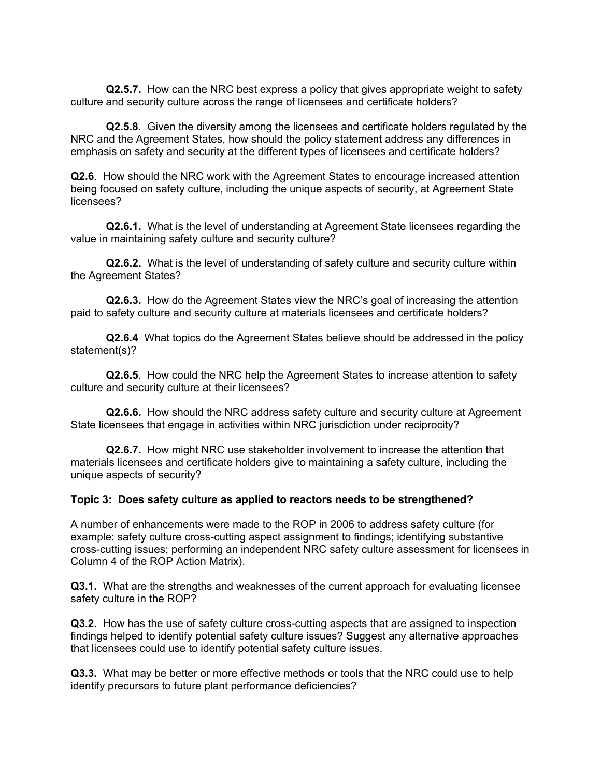**Q2.5.7.** How can the NRC best express a policy that gives appropriate weight to safety culture and security culture across the range of licensees and certificate holders?

**Q2.5.8**. Given the diversity among the licensees and certificate holders regulated by the NRC and the Agreement States, how should the policy statement address any differences in emphasis on safety and security at the different types of licensees and certificate holders?

**Q2.6**. How should the NRC work with the Agreement States to encourage increased attention being focused on safety culture, including the unique aspects of security, at Agreement State licensees?

**Q2.6.1.** What is the level of understanding at Agreement State licensees regarding the value in maintaining safety culture and security culture?

**Q2.6.2.** What is the level of understanding of safety culture and security culture within the Agreement States?

**Q2.6.3.** How do the Agreement States view the NRC's goal of increasing the attention paid to safety culture and security culture at materials licensees and certificate holders?

**Q2.6.4** What topics do the Agreement States believe should be addressed in the policy statement(s)?

**Q2.6.5**. How could the NRC help the Agreement States to increase attention to safety culture and security culture at their licensees?

**Q2.6.6.** How should the NRC address safety culture and security culture at Agreement State licensees that engage in activities within NRC jurisdiction under reciprocity?

**Q2.6.7.** How might NRC use stakeholder involvement to increase the attention that materials licensees and certificate holders give to maintaining a safety culture, including the unique aspects of security?

### **Topic 3: Does safety culture as applied to reactors needs to be strengthened?**

A number of enhancements were made to the ROP in 2006 to address safety culture (for example: safety culture cross-cutting aspect assignment to findings; identifying substantive cross-cutting issues; performing an independent NRC safety culture assessment for licensees in Column 4 of the ROP Action Matrix).

**Q3.1.** What are the strengths and weaknesses of the current approach for evaluating licensee safety culture in the ROP?

**Q3.2.** How has the use of safety culture cross-cutting aspects that are assigned to inspection findings helped to identify potential safety culture issues? Suggest any alternative approaches that licensees could use to identify potential safety culture issues.

**Q3.3.** What may be better or more effective methods or tools that the NRC could use to help identify precursors to future plant performance deficiencies?